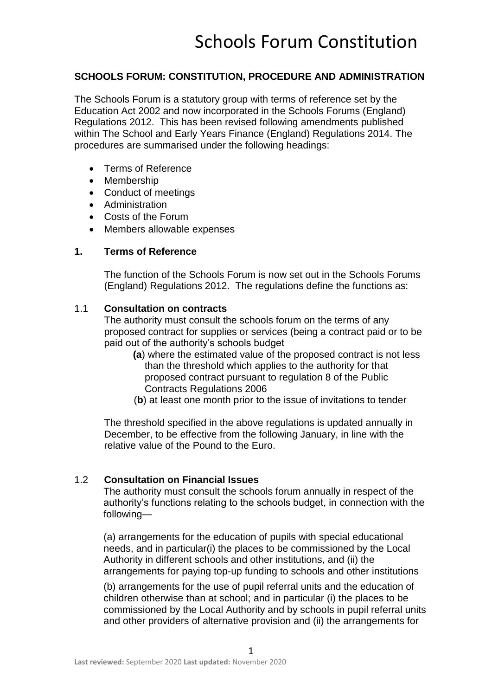### **SCHOOLS FORUM: CONSTITUTION, PROCEDURE AND ADMINISTRATION**

The Schools Forum is a statutory group with terms of reference set by the Education Act 2002 and now incorporated in the Schools Forums (England) Regulations 2012. This has been revised following amendments published within The School and Early Years Finance (England) Regulations 2014. The procedures are summarised under the following headings:

- Terms of Reference
- Membership
- Conduct of meetings
- Administration
- Costs of the Forum
- Members allowable expenses

#### **1. Terms of Reference**

The function of the Schools Forum is now set out in the Schools Forums (England) Regulations 2012. The regulations define the functions as:

#### 1.1 **Consultation on contracts**

The authority must consult the schools forum on the terms of any proposed contract for supplies or services (being a contract paid or to be paid out of the authority's schools budget

- **(a**) where the estimated value of the proposed contract is not less than the threshold which applies to the authority for that proposed contract pursuant to regulation 8 of the Public Contracts Regulations 2006
- (**b**) at least one month prior to the issue of invitations to tender

The threshold specified in the above regulations is updated annually in December, to be effective from the following January, in line with the relative value of the Pound to the Euro.

#### 1.2 **Consultation on Financial Issues**

The authority must consult the schools forum annually in respect of the authority's functions relating to the schools budget, in connection with the following—

(a) arrangements for the education of pupils with special educational needs, and in particular(i) the places to be commissioned by the Local Authority in different schools and other institutions, and (ii) the arrangements for paying top-up funding to schools and other institutions

(b) arrangements for the use of pupil referral units and the education of children otherwise than at school; and in particular (i) the places to be commissioned by the Local Authority and by schools in pupil referral units and other providers of alternative provision and (ii) the arrangements for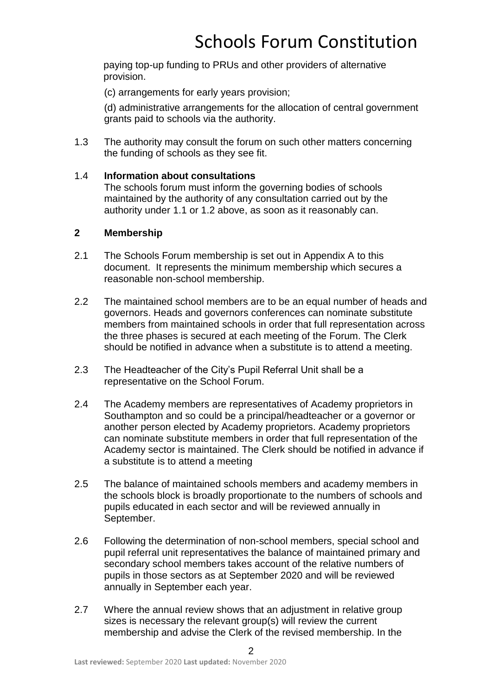paying top-up funding to PRUs and other providers of alternative provision.

(c) arrangements for early years provision;

(d) administrative arrangements for the allocation of central government grants paid to schools via the authority.

1.3 The authority may consult the forum on such other matters concerning the funding of schools as they see fit.

### 1.4 **Information about consultations**

The schools forum must inform the governing bodies of schools maintained by the authority of any consultation carried out by the authority under 1.1 or 1.2 above, as soon as it reasonably can.

### **2 Membership**

- 2.1 The Schools Forum membership is set out in Appendix A to this document. It represents the minimum membership which secures a reasonable non-school membership.
- 2.2 The maintained school members are to be an equal number of heads and governors. Heads and governors conferences can nominate substitute members from maintained schools in order that full representation across the three phases is secured at each meeting of the Forum. The Clerk should be notified in advance when a substitute is to attend a meeting.
- 2.3 The Headteacher of the City's Pupil Referral Unit shall be a representative on the School Forum.
- 2.4 The Academy members are representatives of Academy proprietors in Southampton and so could be a principal/headteacher or a governor or another person elected by Academy proprietors. Academy proprietors can nominate substitute members in order that full representation of the Academy sector is maintained. The Clerk should be notified in advance if a substitute is to attend a meeting
- 2.5 The balance of maintained schools members and academy members in the schools block is broadly proportionate to the numbers of schools and pupils educated in each sector and will be reviewed annually in September.
- 2.6 Following the determination of non-school members, special school and pupil referral unit representatives the balance of maintained primary and secondary school members takes account of the relative numbers of pupils in those sectors as at September 2020 and will be reviewed annually in September each year.
- 2.7 Where the annual review shows that an adjustment in relative group sizes is necessary the relevant group(s) will review the current membership and advise the Clerk of the revised membership. In the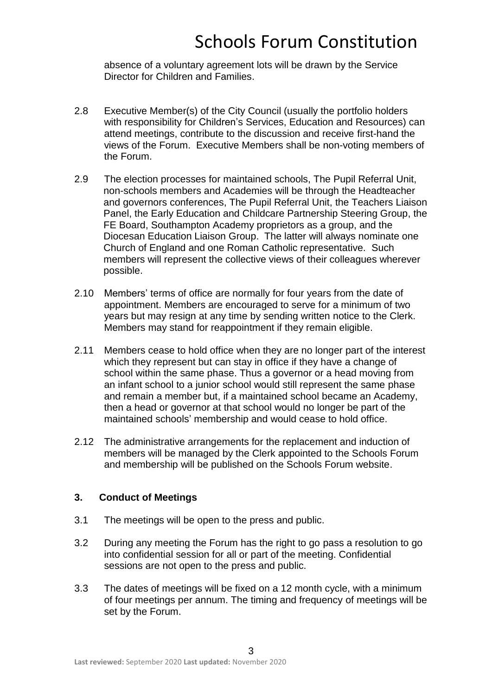absence of a voluntary agreement lots will be drawn by the Service Director for Children and Families.

- 2.8 Executive Member(s) of the City Council (usually the portfolio holders with responsibility for Children's Services, Education and Resources) can attend meetings, contribute to the discussion and receive first-hand the views of the Forum. Executive Members shall be non-voting members of the Forum.
- 2.9 The election processes for maintained schools, The Pupil Referral Unit, non-schools members and Academies will be through the Headteacher and governors conferences, The Pupil Referral Unit, the Teachers Liaison Panel, the Early Education and Childcare Partnership Steering Group, the FE Board, Southampton Academy proprietors as a group, and the Diocesan Education Liaison Group. The latter will always nominate one Church of England and one Roman Catholic representative. Such members will represent the collective views of their colleagues wherever possible.
- 2.10 Members' terms of office are normally for four years from the date of appointment. Members are encouraged to serve for a minimum of two years but may resign at any time by sending written notice to the Clerk. Members may stand for reappointment if they remain eligible.
- 2.11 Members cease to hold office when they are no longer part of the interest which they represent but can stay in office if they have a change of school within the same phase. Thus a governor or a head moving from an infant school to a junior school would still represent the same phase and remain a member but, if a maintained school became an Academy, then a head or governor at that school would no longer be part of the maintained schools' membership and would cease to hold office.
- 2.12 The administrative arrangements for the replacement and induction of members will be managed by the Clerk appointed to the Schools Forum and membership will be published on the Schools Forum website.

### **3. Conduct of Meetings**

- 3.1 The meetings will be open to the press and public.
- 3.2 During any meeting the Forum has the right to go pass a resolution to go into confidential session for all or part of the meeting. Confidential sessions are not open to the press and public.
- 3.3 The dates of meetings will be fixed on a 12 month cycle, with a minimum of four meetings per annum. The timing and frequency of meetings will be set by the Forum.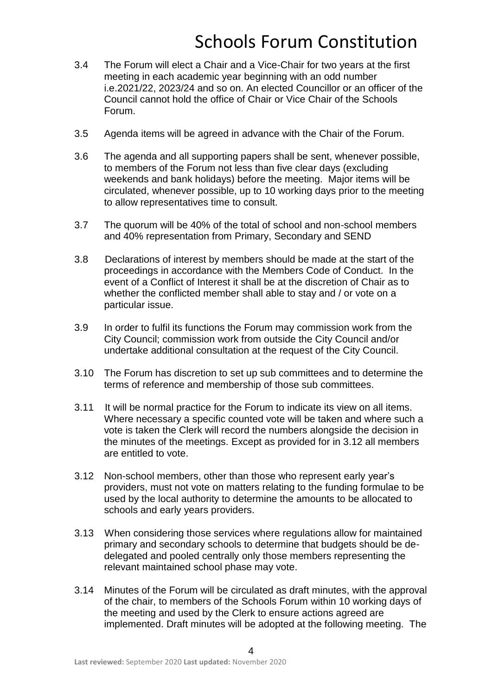- 3.4 The Forum will elect a Chair and a Vice-Chair for two years at the first meeting in each academic year beginning with an odd number i.e.2021/22, 2023/24 and so on. An elected Councillor or an officer of the Council cannot hold the office of Chair or Vice Chair of the Schools Forum.
- 3.5 Agenda items will be agreed in advance with the Chair of the Forum.
- 3.6 The agenda and all supporting papers shall be sent, whenever possible, to members of the Forum not less than five clear days (excluding weekends and bank holidays) before the meeting. Major items will be circulated, whenever possible, up to 10 working days prior to the meeting to allow representatives time to consult.
- 3.7 The quorum will be 40% of the total of school and non-school members and 40% representation from Primary, Secondary and SEND
- 3.8 Declarations of interest by members should be made at the start of the proceedings in accordance with the Members Code of Conduct. In the event of a Conflict of Interest it shall be at the discretion of Chair as to whether the conflicted member shall able to stay and / or vote on a particular issue.
- 3.9 In order to fulfil its functions the Forum may commission work from the City Council; commission work from outside the City Council and/or undertake additional consultation at the request of the City Council.
- 3.10 The Forum has discretion to set up sub committees and to determine the terms of reference and membership of those sub committees.
- 3.11 It will be normal practice for the Forum to indicate its view on all items. Where necessary a specific counted vote will be taken and where such a vote is taken the Clerk will record the numbers alongside the decision in the minutes of the meetings. Except as provided for in 3.12 all members are entitled to vote.
- 3.12 Non-school members, other than those who represent early year's providers, must not vote on matters relating to the funding formulae to be used by the local authority to determine the amounts to be allocated to schools and early years providers.
- 3.13 When considering those services where regulations allow for maintained primary and secondary schools to determine that budgets should be dedelegated and pooled centrally only those members representing the relevant maintained school phase may vote.
- 3.14 Minutes of the Forum will be circulated as draft minutes, with the approval of the chair, to members of the Schools Forum within 10 working days of the meeting and used by the Clerk to ensure actions agreed are implemented. Draft minutes will be adopted at the following meeting. The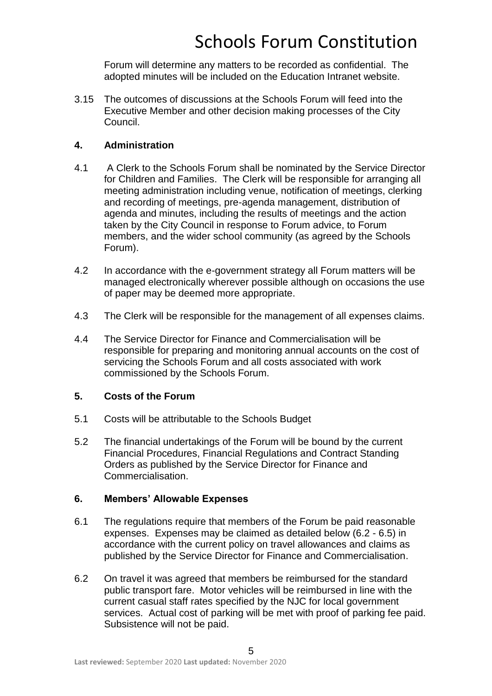Forum will determine any matters to be recorded as confidential. The adopted minutes will be included on the Education Intranet website.

3.15 The outcomes of discussions at the Schools Forum will feed into the Executive Member and other decision making processes of the City Council.

### **4. Administration**

- 4.1 A Clerk to the Schools Forum shall be nominated by the Service Director for Children and Families. The Clerk will be responsible for arranging all meeting administration including venue, notification of meetings, clerking and recording of meetings, pre-agenda management, distribution of agenda and minutes, including the results of meetings and the action taken by the City Council in response to Forum advice, to Forum members, and the wider school community (as agreed by the Schools Forum).
- 4.2 In accordance with the e-government strategy all Forum matters will be managed electronically wherever possible although on occasions the use of paper may be deemed more appropriate.
- 4.3 The Clerk will be responsible for the management of all expenses claims.
- 4.4 The Service Director for Finance and Commercialisation will be responsible for preparing and monitoring annual accounts on the cost of servicing the Schools Forum and all costs associated with work commissioned by the Schools Forum.

### **5. Costs of the Forum**

- 5.1 Costs will be attributable to the Schools Budget
- 5.2 The financial undertakings of the Forum will be bound by the current Financial Procedures, Financial Regulations and Contract Standing Orders as published by the Service Director for Finance and Commercialisation.

### **6. Members' Allowable Expenses**

- 6.1 The regulations require that members of the Forum be paid reasonable expenses. Expenses may be claimed as detailed below (6.2 - 6.5) in accordance with the current policy on travel allowances and claims as published by the Service Director for Finance and Commercialisation.
- 6.2 On travel it was agreed that members be reimbursed for the standard public transport fare. Motor vehicles will be reimbursed in line with the current casual staff rates specified by the NJC for local government services. Actual cost of parking will be met with proof of parking fee paid. Subsistence will not be paid.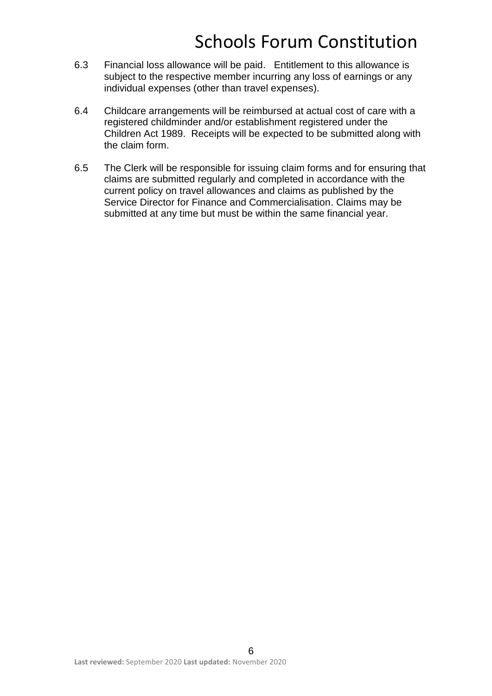- 6.3 Financial loss allowance will be paid. Entitlement to this allowance is subject to the respective member incurring any loss of earnings or any individual expenses (other than travel expenses).
- 6.4 Childcare arrangements will be reimbursed at actual cost of care with a registered childminder and/or establishment registered under the Children Act 1989. Receipts will be expected to be submitted along with the claim form.
- 6.5 The Clerk will be responsible for issuing claim forms and for ensuring that claims are submitted regularly and completed in accordance with the current policy on travel allowances and claims as published by the Service Director for Finance and Commercialisation. Claims may be submitted at any time but must be within the same financial year.